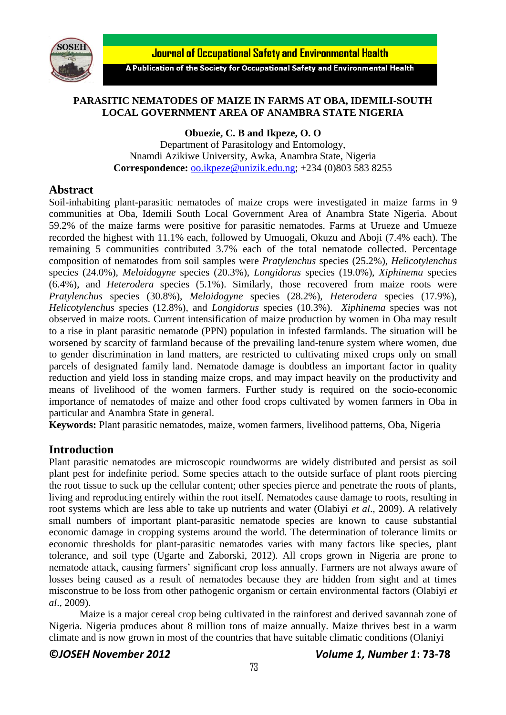

**Journal of Occupational Safety and Environmental Health** 

A Publication of the Society for Occupational Safety and Environmental Health

# **PARASITIC NEMATODES OF MAIZE IN FARMS AT OBA, IDEMILI-SOUTH LOCAL GOVERNMENT AREA OF ANAMBRA STATE NIGERIA**

**Obuezie, C. B and Ikpeze, O. O**

Department of Parasitology and Entomology, Nnamdi Azikiwe University, Awka, Anambra State, Nigeria **Correspondence:** [oo.ikpeze@unizik.edu.ng;](mailto:oo.ikpeze@unizik.edu.ng) +234 (0)803 583 8255

# **Abstract**

Soil-inhabiting plant-parasitic nematodes of maize crops were investigated in maize farms in 9 communities at Oba, Idemili South Local Government Area of Anambra State Nigeria. About 59.2% of the maize farms were positive for parasitic nematodes. Farms at Urueze and Umueze recorded the highest with 11.1% each, followed by Umuogali, Okuzu and Aboji (7.4% each). The remaining 5 communities contributed 3.7% each of the total nematode collected. Percentage composition of nematodes from soil samples were *Pratylenchus* species (25.2%), *Helicotylenchus*  species (24.0%), *Meloidogyne* species (20.3%), *Longidorus* species (19.0%), *Xiphinema* species (6.4%), and *Heterodera* species (5.1%). Similarly, those recovered from maize roots were *Pratylenchus* species (30.8%), *Meloidogyne* species (28.2%), *Heterodera* species (17.9%), *Helicotylenchus s*pecies (12.8%), and *Longidorus* species (10.3%). *Xiphinema* species was not observed in maize roots. Current intensification of maize production by women in Oba may result to a rise in plant parasitic nematode (PPN) population in infested farmlands. The situation will be worsened by scarcity of farmland because of the prevailing land-tenure system where women, due to gender discrimination in land matters, are restricted to cultivating mixed crops only on small parcels of designated family land. Nematode damage is doubtless an important factor in quality reduction and yield loss in standing maize crops, and may impact heavily on the productivity and means of livelihood of the women farmers. Further study is required on the socio-economic importance of nematodes of maize and other food crops cultivated by women farmers in Oba in particular and Anambra State in general.

**Keywords:** Plant parasitic nematodes, maize, women farmers, livelihood patterns, Oba, Nigeria

# **Introduction**

Plant parasitic nematodes are microscopic roundworms are widely distributed and persist as soil plant pest for indefinite period. Some species attach to the outside surface of plant roots piercing the root tissue to suck up the cellular content; other species pierce and penetrate the roots of plants, living and reproducing entirely within the root itself. Nematodes cause damage to roots, resulting in root systems which are less able to take up nutrients and water (Olabiyi *et al*., 2009). A relatively small numbers of important plant-parasitic nematode species are known to cause substantial economic damage in cropping systems around the world. The determination of tolerance limits or economic thresholds for plant-parasitic nematodes varies with many factors like species, plant tolerance, and soil type (Ugarte and Zaborski, 2012). All crops grown in Nigeria are prone to nematode attack, causing farmers' significant crop loss annually. Farmers are not always aware of losses being caused as a result of nematodes because they are hidden from sight and at times misconstrue to be loss from other pathogenic organism or certain environmental factors (Olabiyi *et al*., 2009).

Maize is a major cereal crop being cultivated in the rainforest and derived savannah zone of Nigeria. Nigeria produces about 8 million tons of maize annually. Maize thrives best in a warm climate and is now grown in most of the countries that have suitable climatic conditions (Olaniyi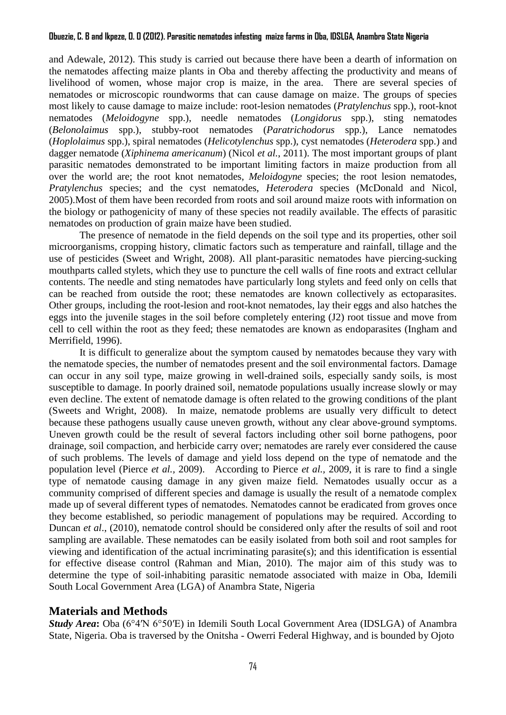### **Obuezie, C. B and Ikpeze, O. O (2012). Parasitic nematodes infesting maize farms in Oba, IDSLGA, Anambra State Nigeria**

and Adewale, 2012). This study is carried out because there have been a dearth of information on the nematodes affecting maize plants in Oba and thereby affecting the productivity and means of livelihood of women, whose major crop is maize, in the area. There are several species of nematodes or microscopic roundworms that can cause damage on maize. The groups of species most likely to cause damage to maize include: root-lesion nematodes (*Pratylenchus* spp.), root-knot nematodes (*Meloidogyne* spp.), needle nematodes (*Longidorus* spp.), sting nematodes (*Belonolaimus* spp.), stubby-root nematodes (*Paratrichodorus* spp.), Lance nematodes (*Hoplolaimus* spp.), spiral nematodes (*Helicotylenchus* spp.), cyst nematodes (*Heterodera* spp.) and dagger nematode (*Xiphinema americanum*) (Nicol *et al.*, 2011). The most important groups of plant parasitic nematodes demonstrated to be important limiting factors in maize production from all over the world are; the root knot nematodes, *Meloidogyne* species; the root lesion nematodes, *Pratylenchus* species; and the cyst nematodes, *Heterodera* species (McDonald and Nicol, 2005).Most of them have been recorded from roots and soil around maize roots with information on the biology or pathogenicity of many of these species not readily available. The effects of parasitic nematodes on production of grain maize have been studied.

The presence of nematode in the field depends on the soil type and its properties, other soil microorganisms, cropping history, climatic factors such as temperature and rainfall, tillage and the use of pesticides (Sweet and Wright, 2008). All plant-parasitic nematodes have piercing-sucking mouthparts called stylets, which they use to puncture the cell walls of fine roots and extract cellular contents. The needle and sting nematodes have particularly long stylets and feed only on cells that can be reached from outside the root; these nematodes are known collectively as ectoparasites. Other groups, including the root-lesion and root-knot nematodes, lay their eggs and also hatches the eggs into the juvenile stages in the soil before completely entering (J2) root tissue and move from cell to cell within the root as they feed; these nematodes are known as endoparasites (Ingham and Merrifield, 1996).

It is difficult to generalize about the symptom caused by nematodes because they vary with the nematode species, the number of nematodes present and the soil environmental factors. Damage can occur in any soil type, maize growing in well-drained soils, especially sandy soils, is most susceptible to damage. In poorly drained soil, nematode populations usually increase slowly or may even decline. The extent of nematode damage is often related to the growing conditions of the plant (Sweets and Wright, 2008). In maize, nematode problems are usually very difficult to detect because these pathogens usually cause uneven growth, without any clear above-ground symptoms. Uneven growth could be the result of several factors including other soil borne pathogens, poor drainage, soil compaction, and herbicide carry over; nematodes are rarely ever considered the cause of such problems. The levels of damage and yield loss depend on the type of nematode and the population level (Pierce *et al.,* 2009). According to Pierce *et al.,* 2009, it is rare to find a single type of nematode causing damage in any given maize field. Nematodes usually occur as a community comprised of different species and damage is usually the result of a nematode complex made up of several different types of nematodes. Nematodes cannot be eradicated from groves once they become established, so periodic management of populations may be required. According to Duncan *et al*., (2010), nematode control should be considered only after the results of soil and root sampling are available. These nematodes can be easily isolated from both soil and root samples for viewing and identification of the actual incriminating parasite(s); and this identification is essential for effective disease control (Rahman and Mian, 2010). The major aim of this study was to determine the type of soil-inhabiting parasitic nematode associated with maize in Oba, Idemili South Local Government Area (LGA) of Anambra State, Nigeria

## **Materials and Methods**

*Study Area***:** Oba [\(6°4′N 6°50′E\)](http://toolserver.org/~geohack/geohack.php?pagename=Oba,_Anambra¶ms=6_4_N_6_50_E_type:city_region:NG) in Idemili South Local Government Area (IDSLGA) of Anambra State, Nigeria. Oba is traversed by the Onitsha - Owerri Federal Highway, and is bounded by Ojoto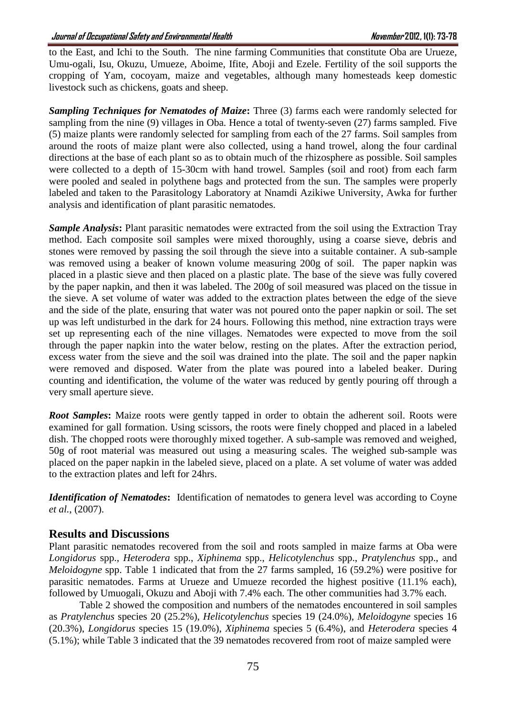to the East, and Ichi to the South. The nine farming Communities that constitute Oba are Urueze, Umu-ogali, Isu, Okuzu, Umueze, Aboime, Ifite, Aboji and Ezele. Fertility of the soil supports the cropping of Yam, cocoyam, maize and vegetables, although many homesteads keep domestic livestock such as chickens, goats and sheep.

*Sampling Techniques for Nematodes of Maize***:** Three (3) farms each were randomly selected for sampling from the nine (9) villages in Oba. Hence a total of twenty-seven (27) farms sampled. Five (5) maize plants were randomly selected for sampling from each of the 27 farms. Soil samples from around the roots of maize plant were also collected, using a hand trowel, along the four cardinal directions at the base of each plant so as to obtain much of the rhizosphere as possible. Soil samples were collected to a depth of 15-30cm with hand trowel. Samples (soil and root) from each farm were pooled and sealed in polythene bags and protected from the sun. The samples were properly labeled and taken to the Parasitology Laboratory at Nnamdi Azikiwe University, Awka for further analysis and identification of plant parasitic nematodes.

*Sample Analysis***:** Plant parasitic nematodes were extracted from the soil using the Extraction Tray method. Each composite soil samples were mixed thoroughly, using a coarse sieve, debris and stones were removed by passing the soil through the sieve into a suitable container. A sub-sample was removed using a beaker of known volume measuring 200g of soil. The paper napkin was placed in a plastic sieve and then placed on a plastic plate. The base of the sieve was fully covered by the paper napkin, and then it was labeled. The 200g of soil measured was placed on the tissue in the sieve. A set volume of water was added to the extraction plates between the edge of the sieve and the side of the plate, ensuring that water was not poured onto the paper napkin or soil. The set up was left undisturbed in the dark for 24 hours. Following this method, nine extraction trays were set up representing each of the nine villages. Nematodes were expected to move from the soil through the paper napkin into the water below, resting on the plates. After the extraction period, excess water from the sieve and the soil was drained into the plate. The soil and the paper napkin were removed and disposed. Water from the plate was poured into a labeled beaker. During counting and identification, the volume of the water was reduced by gently pouring off through a very small aperture sieve.

*Root Samples*: Maize roots were gently tapped in order to obtain the adherent soil. Roots were examined for gall formation. Using scissors, the roots were finely chopped and placed in a labeled dish. The chopped roots were thoroughly mixed together. A sub-sample was removed and weighed, 50g of root material was measured out using a measuring scales. The weighed sub-sample was placed on the paper napkin in the labeled sieve, placed on a plate. A set volume of water was added to the extraction plates and left for 24hrs.

*Identification of Nematodes*: Identification of nematodes to genera level was according to Coyne *et al.*, (2007).

# **Results and Discussions**

Plant parasitic nematodes recovered from the soil and roots sampled in maize farms at Oba were *Longidorus* spp., *Heterodera* spp., *Xiphinema* spp., *Helicotylenchus* spp., *Pratylenchus* spp., and *Meloidogyne* spp. Table 1 indicated that from the 27 farms sampled, 16 (59.2%) were positive for parasitic nematodes. Farms at Urueze and Umueze recorded the highest positive (11.1% each), followed by Umuogali, Okuzu and Aboji with 7.4% each. The other communities had 3.7% each.

Table 2 showed the composition and numbers of the nematodes encountered in soil samples as *Pratylenchus* species 20 (25.2%), *Helicotylenchus* species 19 (24.0%), *Meloidogyne* species 16 (20.3%), *Longidorus* species 15 (19.0%), *Xiphinema* species 5 (6.4%), and *Heterodera* species 4 (5.1%); while Table 3 indicated that the 39 nematodes recovered from root of maize sampled were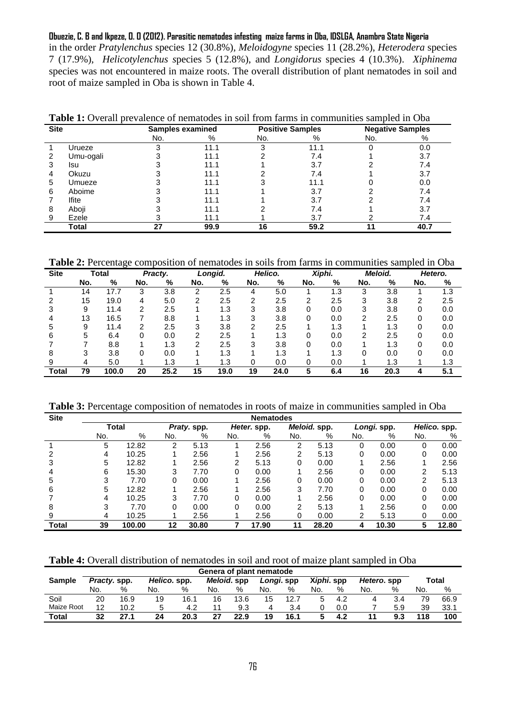**Obuezie, C. B and Ikpeze, O. O (2012). Parasitic nematodes infesting maize farms in Oba, IDSLGA, Anambra State Nigeria**  in the order *Pratylenchus* species 12 (30.8%), *Meloidogyne* species 11 (28.2%), *Heterodera* species 7 (17.9%), *Helicotylenchus s*pecies 5 (12.8%), and *Longidorus* species 4 (10.3%). *Xiphinema*  species was not encountered in maize roots. The overall distribution of plant nematodes in soil and root of maize sampled in Oba is shown in Table 4.

| <b>Table 1:</b> Overall blevalence of hemaloges in son from family in communities sampled in Oba |           |                  |      |     |                         |                         |     |  |  |  |  |  |
|--------------------------------------------------------------------------------------------------|-----------|------------------|------|-----|-------------------------|-------------------------|-----|--|--|--|--|--|
| <b>Site</b>                                                                                      |           | Samples examined |      |     | <b>Positive Samples</b> | <b>Negative Samples</b> |     |  |  |  |  |  |
|                                                                                                  |           | No.              | %    | No. |                         | No.                     |     |  |  |  |  |  |
|                                                                                                  | Urueze    |                  | 11.1 |     | 11.1                    |                         | 0.0 |  |  |  |  |  |
|                                                                                                  | Umu-ogali |                  | 11.1 |     | 7.4                     |                         | 3.7 |  |  |  |  |  |
|                                                                                                  | Isu       |                  | 11.1 |     | 3.7                     |                         |     |  |  |  |  |  |
|                                                                                                  | Okuzu     |                  | 11.1 |     | 74                      |                         | 3.7 |  |  |  |  |  |

**Table 1:** Overall prevalence of nematodes in soil from farms in communities sampled in Oba

 Umueze 3 11.1 3 11.1 0 0.0 Aboime 3 11.1 1 3.7 2 7.4 7 Ifite 3 3 11.1 1 3.7 2 7.4 Aboji 3 11.1 2 7.4 1 3.7 Ezele 3 11.1 1 3.7 2 7.4 **Total 27 99.9 16 59.2 11 40.7**

**Table 2:** Percentage composition of nematodes in soils from farms in communities sampled in Oba

| <b>Site</b> | Total |       | Practy. |      | Longid. |      | Helico. |      | Xiphi. |     | Meloid. |      | Hetero. |     |
|-------------|-------|-------|---------|------|---------|------|---------|------|--------|-----|---------|------|---------|-----|
|             | No.   | %     | No.     | %    | No.     | %    | No.     | %    | No.    | %   | No.     | %    | No.     | %   |
|             | 14    | 17.7  | 3       | 3.8  | 2       | 2.5  |         | 5.0  |        | 1.3 | 3       | 3.8  |         | 1.3 |
|             | 15    | 19.0  | 4       | 5.0  | 2       | 2.5  | 2       | 2.5  | 2      | 2.5 | 3       | 3.8  | 2       | 2.5 |
|             | 9     | 11.4  | 2       | 2.5  |         | 1.3  | 3       | 3.8  | 0      | 0.0 | 3       | 3.8  |         | 0.0 |
|             | 13    | 16.5  |         | 8.8  |         | 1.3  | 3       | 3.8  | 0      | 0.0 | 2       | 2.5  | 0       | 0.0 |
| :5          | 9     | 11.4  | 2       | 2.5  | 3       | 3.8  | 2       | 2.5  |        | 1.3 |         | 1.3  | 0       | 0.0 |
| 6           | 5     | 6.4   | 0       | 0.0  | 2       | 2.5  |         | 1.3  | 0      | 0.0 | 2       | 2.5  | 0       | 0.0 |
|             |       | 8.8   |         | 1.3  | っ       | 2.5  | з       | 3.8  |        | 0.0 |         | 1.3  |         | 0.0 |
| 8           | 3     | 3.8   |         | 0.0  |         | 1.3  |         | 1.3  |        | 1.3 |         | 0.0  |         | 0.0 |
|             | 4     | 5.0   |         | 1.3  |         | 1.3  |         | 0.0  |        | 0.0 |         | 1.3  |         | 1.3 |
| Total       | 79    | 100.0 | 20      | 25.2 | 15      | 19.0 | 19      | 24.0 | 5      | 6.4 | 16      | 20.3 |         | 5.1 |

**Table 3:** Percentage composition of nematodes in roots of maize in communities sampled in Oba

| <b>Site</b> | <b>Nematodes</b>            |       |             |       |     |             |     |              |     |             |     |              |  |
|-------------|-----------------------------|-------|-------------|-------|-----|-------------|-----|--------------|-----|-------------|-----|--------------|--|
|             | Total                       |       | Praty. spp. |       |     | Heter. spp. |     | Meloid. spp. |     | Longi. spp. |     | Helico. spp. |  |
|             | No.                         | %     | No.         | %     | No. | %           | No. | %            | No. | %           | No. | %            |  |
|             | 5                           | 12.82 | 2           | 5.13  |     | 2.56        | 2   | 5.13         | 0   | 0.00        | 0   | 0.00         |  |
| 2           | 4                           | 10.25 |             | 2.56  |     | 2.56        | 2   | 5.13         | 0   | 0.00        | 0   | 0.00         |  |
| 3           | 5                           | 12.82 |             | 2.56  | 2   | 5.13        | 0   | 0.00         |     | 2.56        |     | 2.56         |  |
| 4           | 6                           | 15.30 | 3           | 7.70  | 0   | 0.00        |     | 2.56         | 0   | 0.00        | 2   | 5.13         |  |
| 5           | 3                           | 7.70  | 0           | 0.00  |     | 2.56        | 0   | 0.00         | 0   | 0.00        | 2   | 5.13         |  |
| 6           | 5                           | 12.82 |             | 2.56  |     | 2.56        | 3   | 7.70         | 0   | 0.00        | 0   | 0.00         |  |
|             | 4                           | 10.25 | 3           | 7.70  | 0   | 0.00        |     | 2.56         | 0   | 0.00        | 0   | 0.00         |  |
| 8           | 3                           | 7.70  | 0           | 0.00  | 0   | 0.00        | 2   | 5.13         |     | 2.56        | 0   | 0.00         |  |
| 9           | 4                           | 10.25 |             | 2.56  |     | 2.56        | 0   | 0.00         | າ   | 5.13        | 0   | 0.00         |  |
| Total       | 39<br>100.00<br>12<br>30.80 |       |             | 17.90 | 11  | 28.20       | 4   | 10.30        | 5   | 12.80       |     |              |  |

**Table 4:** Overall distribution of nematodes in soil and root of maize plant sampled in Oba

|              | Genera of plant nematode |      |              |      |             |      |            |      |            |     |             |     |       |      |
|--------------|--------------------------|------|--------------|------|-------------|------|------------|------|------------|-----|-------------|-----|-------|------|
| Sample       | Practy. spp.             |      | Helico, spp. |      | Meloid, spp |      | Longi. spp |      | Xiphi. spp |     | Hetero, spp |     | Total |      |
|              | No.                      | %    | No.          | %    | No.         | %    | No.        | %    | No.        | %   | No.         | %   | No.   | %    |
| Soil         | 20                       | 16.9 | 19           | 16.1 | 16          | 13.6 | 15         | 12.7 |            | 4.2 |             | 3.4 | 79    | 66.9 |
| Maize Root   | 12                       | 10.2 | b            | 4.2  |             | 9.3  | 4          | 3.4  |            | 0.0 |             | 5.9 | 39    | 33.1 |
| <b>Total</b> | 32                       | 27.1 | 24           | 20.3 | 27          | 22.9 | 19         | 16.1 |            | 4.2 |             | 9.3 | 118   | 100  |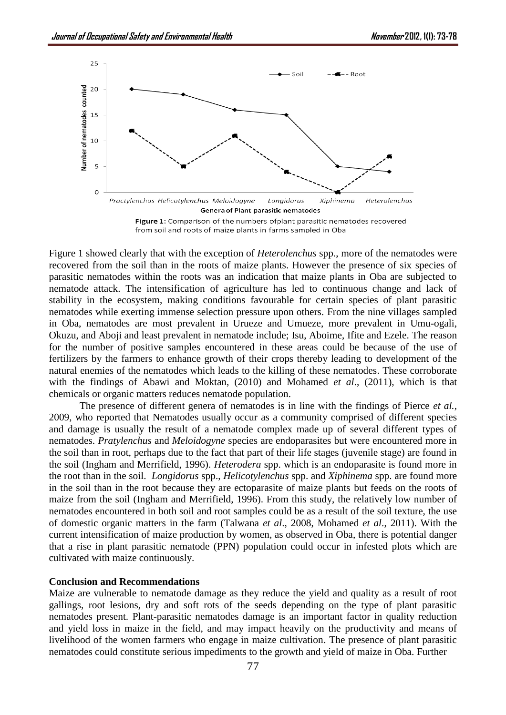

Figure 1 showed clearly that with the exception of *Heterolenchus* spp., more of the nematodes were recovered from the soil than in the roots of maize plants. However the presence of six species of parasitic nematodes within the roots was an indication that maize plants in Oba are subjected to nematode attack. The intensification of agriculture has led to continuous change and lack of stability in the ecosystem, making conditions favourable for certain species of plant parasitic nematodes while exerting immense selection pressure upon others. From the nine villages sampled in Oba, nematodes are most prevalent in Urueze and Umueze, more prevalent in Umu-ogali, Okuzu, and Aboji and least prevalent in nematode include; Isu, Aboime, Ifite and Ezele. The reason for the number of positive samples encountered in these areas could be because of the use of fertilizers by the farmers to enhance growth of their crops thereby leading to development of the natural enemies of the nematodes which leads to the killing of these nematodes. These corroborate with the findings of Abawi and Moktan, (2010) and Mohamed *et al*., (2011), which is that chemicals or organic matters reduces nematode population.

The presence of different genera of nematodes is in line with the findings of Pierce *et al.,* 2009, who reported that Nematodes usually occur as a community comprised of different species and damage is usually the result of a nematode complex made up of several different types of nematodes. *Pratylenchus* and *Meloidogyne* species are endoparasites but were encountered more in the soil than in root, perhaps due to the fact that part of their life stages (juvenile stage) are found in the soil (Ingham and Merrifield, 1996). *Heterodera* spp. which is an endoparasite is found more in the root than in the soil. *Longidorus* spp., *Helicotylenchus* spp. and *Xiphinema* spp. are found more in the soil than in the root because they are ectoparasite of maize plants but feeds on the roots of maize from the soil (Ingham and Merrifield, 1996). From this study, the relatively low number of nematodes encountered in both soil and root samples could be as a result of the soil texture, the use of domestic organic matters in the farm (Talwana *et al*., 2008, Mohamed *et al*., 2011). With the current intensification of maize production by women, as observed in Oba, there is potential danger that a rise in plant parasitic nematode (PPN) population could occur in infested plots which are cultivated with maize continuously.

#### **Conclusion and Recommendations**

Maize are vulnerable to nematode damage as they reduce the yield and quality as a result of root gallings, root lesions, dry and soft rots of the seeds depending on the type of plant parasitic nematodes present. Plant-parasitic nematodes damage is an important factor in quality reduction and yield loss in maize in the field, and may impact heavily on the productivity and means of livelihood of the women farmers who engage in maize cultivation. The presence of plant parasitic nematodes could constitute serious impediments to the growth and yield of maize in Oba. Further